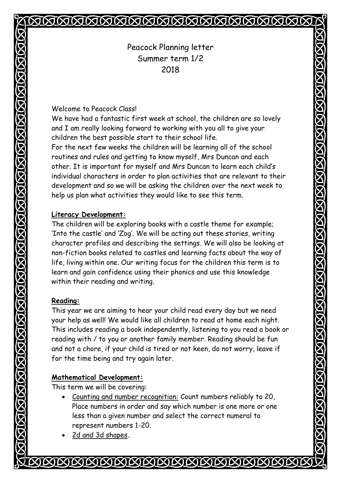# MMMMMMMMM

Peacock Planning letter Summer term 1/2 2018

#### Welcome to Peacock Class!

We have had a fantastic first week at school, the children are so lovely and I am really looking forward to working with you all to give your children the best possible start to their school life.

For the next few weeks the children will be learning all of the school routines and rules and getting to know myself, Mrs Duncan and each other. It is important for myself and Mrs Duncan to learn each child's individual characters in order to plan activities that are relevant to their development and so we will be asking the children over the next week to help us plan what activities they would like to see this term.

#### **Literacy Development:**

The children will be exploring books with a castle theme for example; 'Into the castle' and 'Zog'. We will be acting out these stories, writing character profiles and describing the settings. We will also be looking at non-fiction books related to castles and learning facts about the way of life, living within one. Our writing focus for the children this term is to learn and gain confidence using their phonics and use this knowledge within their reading and writing.

## **Reading:**

This year we are aiming to hear your child read every day but we need your help as well! We would like all children to read at home each night. This includes reading a book independently, listening to you read a book or reading with / to you or another family member. Reading should be fun and not a chore, if your child is tired or not keen, do not worry, leave if for the time being and try again later.

## **Mathematical Development:**

This term we will be covering:

- Counting and number recognition: Count numbers reliably to 20, Place numbers in order and say which number is one more or one less than a given number and select the correct numeral to represent numbers 1-20.
- 2d and 3d shapes**.**